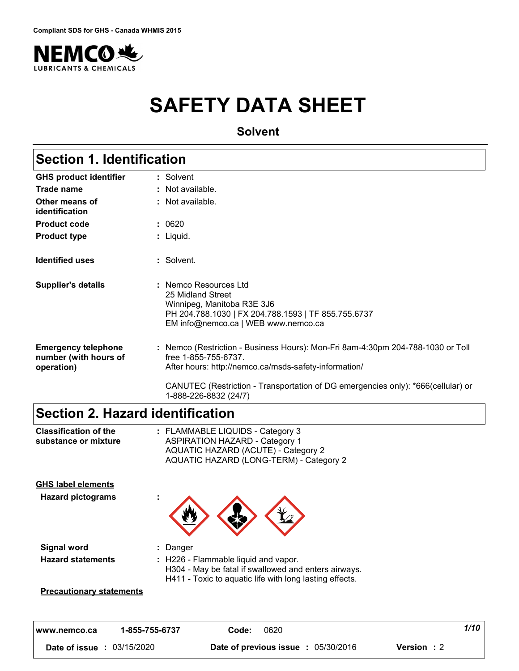

# **SAFETY DATA SHEET**

**Solvent**

## **Section 1. Identification**

| <b>GHS product identifier</b>                                     | : Solvent                                                                                                                                                                                                                                                                     |
|-------------------------------------------------------------------|-------------------------------------------------------------------------------------------------------------------------------------------------------------------------------------------------------------------------------------------------------------------------------|
| Trade name                                                        | : Not available.                                                                                                                                                                                                                                                              |
| Other means of<br>identification                                  | : Not available.                                                                                                                                                                                                                                                              |
| <b>Product code</b>                                               | : 0620                                                                                                                                                                                                                                                                        |
| <b>Product type</b>                                               | : Liquid.                                                                                                                                                                                                                                                                     |
| <b>Identified uses</b>                                            | : Solvent.                                                                                                                                                                                                                                                                    |
| <b>Supplier's details</b>                                         | : Nemco Resources Ltd<br>25 Midland Street<br>Winnipeg, Manitoba R3E 3J6<br>PH 204.788.1030   FX 204.788.1593   TF 855.755.6737<br>EM info@nemco.ca   WEB www.nemco.ca                                                                                                        |
| <b>Emergency telephone</b><br>number (with hours of<br>operation) | : Nemco (Restriction - Business Hours): Mon-Fri 8am-4:30pm 204-788-1030 or Toll<br>free 1-855-755-6737.<br>After hours: http://nemco.ca/msds-safety-information/<br>CANUTEC (Restriction - Transportation of DG emergencies only): *666(cellular) or<br>1-888-226-8832 (24/7) |

### **Section 2. Hazard identification**

| <b>Classification of the</b><br>substance or mixture | : FLAMMABLE LIQUIDS - Category 3<br><b>ASPIRATION HAZARD - Category 1</b><br>AQUATIC HAZARD (ACUTE) - Category 2<br>AQUATIC HAZARD (LONG-TERM) - Category 2 |
|------------------------------------------------------|-------------------------------------------------------------------------------------------------------------------------------------------------------------|
| <b>GHS label elements</b>                            |                                                                                                                                                             |
| <b>Hazard pictograms</b>                             |                                                                                                                                                             |
| Signal word                                          | Danger                                                                                                                                                      |
| <b>Hazard statements</b>                             | : H226 - Flammable liquid and vapor.<br>H304 - May be fatal if swallowed and enters airways.<br>H411 - Toxic to aquatic life with long lasting effects.     |
| <b>Precautionary statements</b>                      |                                                                                                                                                             |

| 1-855-755-6737<br>www.nemco.ca | 0620<br>Code:                        | 1/10        |
|--------------------------------|--------------------------------------|-------------|
| 03/15/2020<br>Date of issue    | 05/30/2016<br>Date of previous issue | Version : 2 |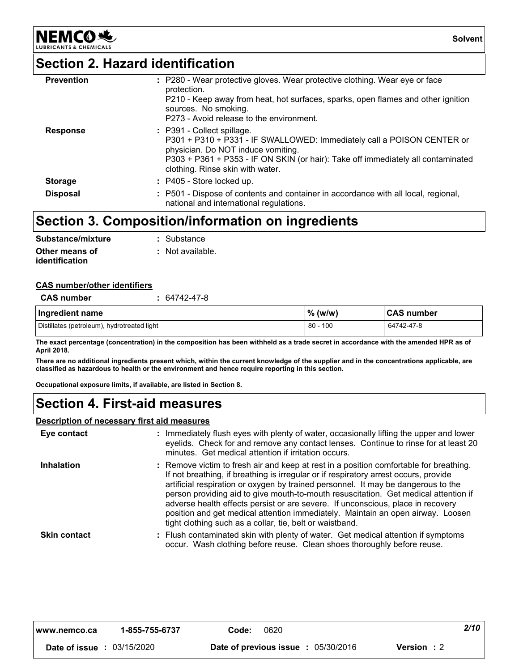### **Section 2. Hazard identification**

**NEMCO头** 

| <b>Prevention</b> | : P280 - Wear protective gloves. Wear protective clothing. Wear eye or face<br>protection.<br>P210 - Keep away from heat, hot surfaces, sparks, open flames and other ignition<br>sources. No smoking.<br>P273 - Avoid release to the environment.                 |
|-------------------|--------------------------------------------------------------------------------------------------------------------------------------------------------------------------------------------------------------------------------------------------------------------|
| <b>Response</b>   | : P391 - Collect spillage.<br>P301 + P310 + P331 - IF SWALLOWED: Immediately call a POISON CENTER or<br>physician. Do NOT induce vomiting.<br>P303 + P361 + P353 - IF ON SKIN (or hair): Take off immediately all contaminated<br>clothing. Rinse skin with water. |
| <b>Storage</b>    | : P405 - Store locked up.                                                                                                                                                                                                                                          |
| <b>Disposal</b>   | : P501 - Dispose of contents and container in accordance with all local, regional,<br>national and international regulations.                                                                                                                                      |

### **Section 3. Composition/information on ingredients**

| Substance/mixture     | : Substance      |
|-----------------------|------------------|
| Other means of        | : Not available. |
| <b>identification</b> |                  |

#### **CAS number/other identifiers**

| <b>CAS number</b>                           | 64742-47-8 |            |             |
|---------------------------------------------|------------|------------|-------------|
| Ingredient name                             |            | $\%$ (w/w) | ∣CAS number |
| Distillates (petroleum), hydrotreated light |            | 80 - 100   | 64742-47-8  |

**The exact percentage (concentration) in the composition has been withheld as a trade secret in accordance with the amended HPR as of April 2018.**

**There are no additional ingredients present which, within the current knowledge of the supplier and in the concentrations applicable, are classified as hazardous to health or the environment and hence require reporting in this section.**

**Occupational exposure limits, if available, are listed in Section 8.**

### **Section 4. First-aid measures**

#### **Description of necessary first aid measures**

| Eye contact         | : Immediately flush eyes with plenty of water, occasionally lifting the upper and lower<br>eyelids. Check for and remove any contact lenses. Continue to rinse for at least 20<br>minutes. Get medical attention if irritation occurs.                                                                                                                                                                                                                                                                                                                                                       |
|---------------------|----------------------------------------------------------------------------------------------------------------------------------------------------------------------------------------------------------------------------------------------------------------------------------------------------------------------------------------------------------------------------------------------------------------------------------------------------------------------------------------------------------------------------------------------------------------------------------------------|
| <b>Inhalation</b>   | : Remove victim to fresh air and keep at rest in a position comfortable for breathing.<br>If not breathing, if breathing is irregular or if respiratory arrest occurs, provide<br>artificial respiration or oxygen by trained personnel. It may be dangerous to the<br>person providing aid to give mouth-to-mouth resuscitation. Get medical attention if<br>adverse health effects persist or are severe. If unconscious, place in recovery<br>position and get medical attention immediately. Maintain an open airway. Loosen<br>tight clothing such as a collar, tie, belt or waistband. |
| <b>Skin contact</b> | : Flush contaminated skin with plenty of water. Get medical attention if symptoms<br>occur. Wash clothing before reuse. Clean shoes thoroughly before reuse.                                                                                                                                                                                                                                                                                                                                                                                                                                 |

| www.nemco.ca                      | 1-855-755-6737 | Code: | 0620                                       |             | 2/10 |
|-----------------------------------|----------------|-------|--------------------------------------------|-------------|------|
| <b>Date of issue : 03/15/2020</b> |                |       | <b>Date of previous issue : 05/30/2016</b> | Version : 2 |      |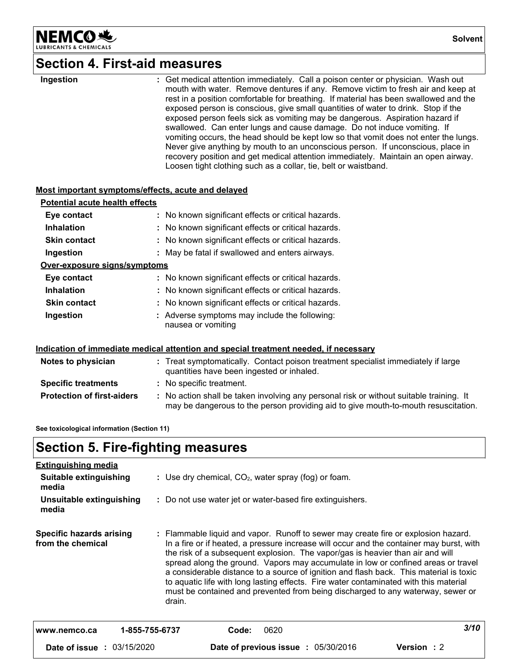

### **Section 4. First-aid measures**

#### **Most important symptoms/effects, acute and delayed**

| <b>Potential acute health effects</b> |                                                                     |
|---------------------------------------|---------------------------------------------------------------------|
| Eye contact                           | : No known significant effects or critical hazards.                 |
| <b>Inhalation</b>                     | : No known significant effects or critical hazards.                 |
| <b>Skin contact</b>                   | : No known significant effects or critical hazards.                 |
| Ingestion                             | : May be fatal if swallowed and enters airways.                     |
| Over-exposure signs/symptoms          |                                                                     |
| Eye contact                           | : No known significant effects or critical hazards.                 |
| <b>Inhalation</b>                     | : No known significant effects or critical hazards.                 |
| <b>Skin contact</b>                   | : No known significant effects or critical hazards.                 |
| Ingestion                             | : Adverse symptoms may include the following:<br>nausea or vomiting |

#### **Indication of immediate medical attention and special treatment needed, if necessary**

| Notes to physician                | : Treat symptomatically. Contact poison treatment specialist immediately if large<br>quantities have been ingested or inhaled.                                                |  |
|-----------------------------------|-------------------------------------------------------------------------------------------------------------------------------------------------------------------------------|--|
| <b>Specific treatments</b>        | : No specific treatment.                                                                                                                                                      |  |
| <b>Protection of first-aiders</b> | : No action shall be taken involving any personal risk or without suitable training. It<br>may be dangerous to the person providing aid to give mouth-to-mouth resuscitation. |  |

**See toxicological information (Section 11)**

### **Section 5. Fire-fighting measures**

| <b>Extinguishing media</b>                           |                                                           |       |                                     |                                                                                                                                                                                                                                                                                                                                                                                                                                                                                                                                                                                                                             |      |  |  |
|------------------------------------------------------|-----------------------------------------------------------|-------|-------------------------------------|-----------------------------------------------------------------------------------------------------------------------------------------------------------------------------------------------------------------------------------------------------------------------------------------------------------------------------------------------------------------------------------------------------------------------------------------------------------------------------------------------------------------------------------------------------------------------------------------------------------------------------|------|--|--|
| Suitable extinguishing<br>media                      | : Use dry chemical, $CO2$ , water spray (fog) or foam.    |       |                                     |                                                                                                                                                                                                                                                                                                                                                                                                                                                                                                                                                                                                                             |      |  |  |
| Unsuitable extinguishing<br>media                    | : Do not use water jet or water-based fire extinguishers. |       |                                     |                                                                                                                                                                                                                                                                                                                                                                                                                                                                                                                                                                                                                             |      |  |  |
| <b>Specific hazards arising</b><br>from the chemical | drain.                                                    |       |                                     | : Flammable liquid and vapor. Runoff to sewer may create fire or explosion hazard.<br>In a fire or if heated, a pressure increase will occur and the container may burst, with<br>the risk of a subsequent explosion. The vapor/gas is heavier than air and will<br>spread along the ground. Vapors may accumulate in low or confined areas or travel<br>a considerable distance to a source of ignition and flash back. This material is toxic<br>to aquatic life with long lasting effects. Fire water contaminated with this material<br>must be contained and prevented from being discharged to any waterway, sewer or |      |  |  |
| www.nemco.ca                                         | 1-855-755-6737                                            | Code: | 0620                                |                                                                                                                                                                                                                                                                                                                                                                                                                                                                                                                                                                                                                             | 3/10 |  |  |
| <b>Date of issue : 03/15/2020</b>                    |                                                           |       | Date of previous issue : 05/30/2016 | <b>Version</b> : 2                                                                                                                                                                                                                                                                                                                                                                                                                                                                                                                                                                                                          |      |  |  |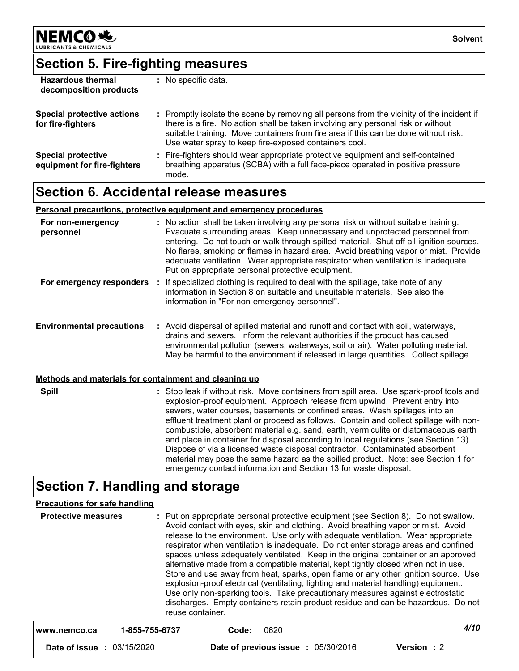

## **Section 5. Fire-fighting measures**

| <b>Hazardous thermal</b><br>decomposition products       | : No specific data.                                                                                                                                                                                                                                                                                                           |
|----------------------------------------------------------|-------------------------------------------------------------------------------------------------------------------------------------------------------------------------------------------------------------------------------------------------------------------------------------------------------------------------------|
| <b>Special protective actions</b><br>for fire-fighters   | : Promptly isolate the scene by removing all persons from the vicinity of the incident if<br>there is a fire. No action shall be taken involving any personal risk or without<br>suitable training. Move containers from fire area if this can be done without risk.<br>Use water spray to keep fire-exposed containers cool. |
| <b>Special protective</b><br>equipment for fire-fighters | : Fire-fighters should wear appropriate protective equipment and self-contained<br>breathing apparatus (SCBA) with a full face-piece operated in positive pressure<br>mode.                                                                                                                                                   |

### **Section 6. Accidental release measures**

#### **Personal precautions, protective equipment and emergency procedures**

| For non-emergency<br>personnel                        | : No action shall be taken involving any personal risk or without suitable training.<br>Evacuate surrounding areas. Keep unnecessary and unprotected personnel from<br>entering. Do not touch or walk through spilled material. Shut off all ignition sources.<br>No flares, smoking or flames in hazard area. Avoid breathing vapor or mist. Provide<br>adequate ventilation. Wear appropriate respirator when ventilation is inadequate.<br>Put on appropriate personal protective equipment.                                                                                                                                                                                                                                                                       |
|-------------------------------------------------------|-----------------------------------------------------------------------------------------------------------------------------------------------------------------------------------------------------------------------------------------------------------------------------------------------------------------------------------------------------------------------------------------------------------------------------------------------------------------------------------------------------------------------------------------------------------------------------------------------------------------------------------------------------------------------------------------------------------------------------------------------------------------------|
| For emergency responders :                            | If specialized clothing is required to deal with the spillage, take note of any<br>information in Section 8 on suitable and unsuitable materials. See also the<br>information in "For non-emergency personnel".                                                                                                                                                                                                                                                                                                                                                                                                                                                                                                                                                       |
| <b>Environmental precautions</b>                      | : Avoid dispersal of spilled material and runoff and contact with soil, waterways,<br>drains and sewers. Inform the relevant authorities if the product has caused<br>environmental pollution (sewers, waterways, soil or air). Water polluting material.<br>May be harmful to the environment if released in large quantities. Collect spillage.                                                                                                                                                                                                                                                                                                                                                                                                                     |
| Methods and materials for containment and cleaning up |                                                                                                                                                                                                                                                                                                                                                                                                                                                                                                                                                                                                                                                                                                                                                                       |
| <b>Spill</b>                                          | : Stop leak if without risk. Move containers from spill area. Use spark-proof tools and<br>explosion-proof equipment. Approach release from upwind. Prevent entry into<br>sewers, water courses, basements or confined areas. Wash spillages into an<br>effluent treatment plant or proceed as follows. Contain and collect spillage with non-<br>combustible, absorbent material e.g. sand, earth, vermiculite or diatomaceous earth<br>and place in container for disposal according to local regulations (see Section 13).<br>Dispose of via a licensed waste disposal contractor. Contaminated absorbent<br>material may pose the same hazard as the spilled product. Note: see Section 1 for<br>emergency contact information and Section 13 for waste disposal. |

### **Section 7. Handling and storage**

#### **Precautions for safe handling**

| <b>Protective measures</b> | reuse container. |       |      | : Put on appropriate personal protective equipment (see Section 8). Do not swallow.<br>Avoid contact with eyes, skin and clothing. Avoid breathing vapor or mist. Avoid<br>release to the environment. Use only with adequate ventilation. Wear appropriate<br>respirator when ventilation is inadequate. Do not enter storage areas and confined<br>spaces unless adequately ventilated. Keep in the original container or an approved<br>alternative made from a compatible material, kept tightly closed when not in use.<br>Store and use away from heat, sparks, open flame or any other ignition source. Use<br>explosion-proof electrical (ventilating, lighting and material handling) equipment.<br>Use only non-sparking tools. Take precautionary measures against electrostatic<br>discharges. Empty containers retain product residue and can be hazardous. Do not |
|----------------------------|------------------|-------|------|---------------------------------------------------------------------------------------------------------------------------------------------------------------------------------------------------------------------------------------------------------------------------------------------------------------------------------------------------------------------------------------------------------------------------------------------------------------------------------------------------------------------------------------------------------------------------------------------------------------------------------------------------------------------------------------------------------------------------------------------------------------------------------------------------------------------------------------------------------------------------------|
| www.nemco.ca               | 1-855-755-6737   | Code: | 0620 | 4/10                                                                                                                                                                                                                                                                                                                                                                                                                                                                                                                                                                                                                                                                                                                                                                                                                                                                            |

**Date of issue :** 03/15/2020 **Date of previous issue :** 05/30/2016 **Version :** 2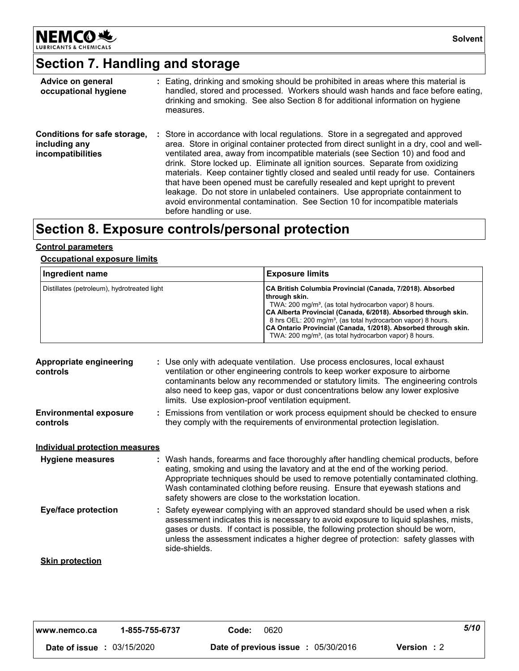

## **Section 7. Handling and storage**

| Advice on general<br>occupational hygiene                          | : Eating, drinking and smoking should be prohibited in areas where this material is<br>handled, stored and processed. Workers should wash hands and face before eating,<br>drinking and smoking. See also Section 8 for additional information on hygiene<br>measures.                                                                                                                                                                                                                                                                                                                                                                                                                                                 |
|--------------------------------------------------------------------|------------------------------------------------------------------------------------------------------------------------------------------------------------------------------------------------------------------------------------------------------------------------------------------------------------------------------------------------------------------------------------------------------------------------------------------------------------------------------------------------------------------------------------------------------------------------------------------------------------------------------------------------------------------------------------------------------------------------|
| Conditions for safe storage,<br>including any<br>incompatibilities | : Store in accordance with local regulations. Store in a segregated and approved<br>area. Store in original container protected from direct sunlight in a dry, cool and well-<br>ventilated area, away from incompatible materials (see Section 10) and food and<br>drink. Store locked up. Eliminate all ignition sources. Separate from oxidizing<br>materials. Keep container tightly closed and sealed until ready for use. Containers<br>that have been opened must be carefully resealed and kept upright to prevent<br>leakage. Do not store in unlabeled containers. Use appropriate containment to<br>avoid environmental contamination. See Section 10 for incompatible materials<br>before handling or use. |

## **Section 8. Exposure controls/personal protection**

#### **Control parameters**

#### **Occupational exposure limits**

| Ingredient name                             | <b>Exposure limits</b>                                                                                                                                                                                                                                                                                                                                                                                                                 |
|---------------------------------------------|----------------------------------------------------------------------------------------------------------------------------------------------------------------------------------------------------------------------------------------------------------------------------------------------------------------------------------------------------------------------------------------------------------------------------------------|
| Distillates (petroleum), hydrotreated light | CA British Columbia Provincial (Canada, 7/2018). Absorbed<br>through skin.<br>TWA: 200 mg/m <sup>3</sup> , (as total hydrocarbon vapor) 8 hours.<br>CA Alberta Provincial (Canada, 6/2018). Absorbed through skin.<br>8 hrs OEL: 200 mg/m <sup>3</sup> , (as total hydrocarbon vapor) 8 hours.<br>CA Ontario Provincial (Canada, 1/2018). Absorbed through skin.<br>TWA: 200 mg/m <sup>3</sup> , (as total hydrocarbon vapor) 8 hours. |

| Appropriate engineering<br>controls       | : Use only with adequate ventilation. Use process enclosures, local exhaust<br>ventilation or other engineering controls to keep worker exposure to airborne<br>contaminants below any recommended or statutory limits. The engineering controls<br>also need to keep gas, vapor or dust concentrations below any lower explosive<br>limits. Use explosion-proof ventilation equipment.           |
|-------------------------------------------|---------------------------------------------------------------------------------------------------------------------------------------------------------------------------------------------------------------------------------------------------------------------------------------------------------------------------------------------------------------------------------------------------|
| <b>Environmental exposure</b><br>controls | : Emissions from ventilation or work process equipment should be checked to ensure<br>they comply with the requirements of environmental protection legislation.                                                                                                                                                                                                                                  |
| <u>Individual protection measures</u>     |                                                                                                                                                                                                                                                                                                                                                                                                   |
| Hygiene measures                          | : Wash hands, forearms and face thoroughly after handling chemical products, before<br>eating, smoking and using the lavatory and at the end of the working period.<br>Appropriate techniques should be used to remove potentially contaminated clothing.<br>Wash contaminated clothing before reusing. Ensure that eyewash stations and<br>safety showers are close to the workstation location. |
| <b>Eye/face protection</b>                | : Safety eyewear complying with an approved standard should be used when a risk<br>assessment indicates this is necessary to avoid exposure to liquid splashes, mists,<br>gases or dusts. If contact is possible, the following protection should be worn,<br>unless the assessment indicates a higher degree of protection: safety glasses with<br>side-shields.                                 |
| <b>Skin protection</b>                    |                                                                                                                                                                                                                                                                                                                                                                                                   |

| 1-855-755-6737<br>l www.nemco.ca  | 0620<br>Code:                              | 5/10               |
|-----------------------------------|--------------------------------------------|--------------------|
| <b>Date of issue : 03/15/2020</b> | <b>Date of previous issue : 05/30/2016</b> | <b>Version</b> : 2 |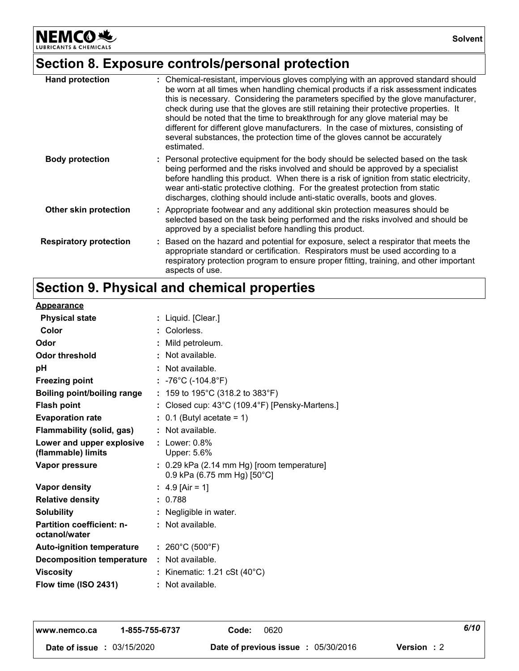**NEMCO头** INTS & CHEMICALS LUBRIC

## **Section 8. Exposure controls/personal protection**

| <b>Hand protection</b>        | : Chemical-resistant, impervious gloves complying with an approved standard should<br>be worn at all times when handling chemical products if a risk assessment indicates<br>this is necessary. Considering the parameters specified by the glove manufacturer,<br>check during use that the gloves are still retaining their protective properties. It<br>should be noted that the time to breakthrough for any glove material may be<br>different for different glove manufacturers. In the case of mixtures, consisting of<br>several substances, the protection time of the gloves cannot be accurately<br>estimated. |
|-------------------------------|---------------------------------------------------------------------------------------------------------------------------------------------------------------------------------------------------------------------------------------------------------------------------------------------------------------------------------------------------------------------------------------------------------------------------------------------------------------------------------------------------------------------------------------------------------------------------------------------------------------------------|
| <b>Body protection</b>        | : Personal protective equipment for the body should be selected based on the task<br>being performed and the risks involved and should be approved by a specialist<br>before handling this product. When there is a risk of ignition from static electricity,<br>wear anti-static protective clothing. For the greatest protection from static<br>discharges, clothing should include anti-static overalls, boots and gloves.                                                                                                                                                                                             |
| Other skin protection         | : Appropriate footwear and any additional skin protection measures should be<br>selected based on the task being performed and the risks involved and should be<br>approved by a specialist before handling this product.                                                                                                                                                                                                                                                                                                                                                                                                 |
| <b>Respiratory protection</b> | : Based on the hazard and potential for exposure, select a respirator that meets the<br>appropriate standard or certification. Respirators must be used according to a<br>respiratory protection program to ensure proper fitting, training, and other important<br>aspects of use.                                                                                                                                                                                                                                                                                                                                       |

### **Section 9. Physical and chemical properties**

| <b>Appearance</b>                                 |                                                                           |
|---------------------------------------------------|---------------------------------------------------------------------------|
| <b>Physical state</b>                             | : Liquid. [Clear.]                                                        |
| Color                                             | : Colorless.                                                              |
| Odor                                              | : Mild petroleum.                                                         |
| Odor threshold                                    | : Not available.                                                          |
| рH                                                | : Not available.                                                          |
| <b>Freezing point</b>                             | : -76°C (-104.8°F)                                                        |
| <b>Boiling point/boiling range</b>                | : 159 to 195°C (318.2 to 383°F)                                           |
| <b>Flash point</b>                                | : Closed cup: 43°C (109.4°F) [Pensky-Martens.]                            |
| <b>Evaporation rate</b>                           | $: 0.1$ (Butyl acetate = 1)                                               |
| Flammability (solid, gas)                         | : Not available.                                                          |
| Lower and upper explosive<br>(flammable) limits   | $:$ Lower: $0.8\%$<br>Upper: 5.6%                                         |
| Vapor pressure                                    | : 0.29 kPa (2.14 mm Hg) [room temperature]<br>0.9 kPa (6.75 mm Hg) [50°C] |
| <b>Vapor density</b>                              | : 4.9 [Air = 1]                                                           |
| <b>Relative density</b>                           | : 0.788                                                                   |
| <b>Solubility</b>                                 | : Negligible in water.                                                    |
| <b>Partition coefficient: n-</b><br>octanol/water | $:$ Not available.                                                        |
| <b>Auto-ignition temperature</b>                  | : $260^{\circ}$ C (500 $^{\circ}$ F)                                      |
| <b>Decomposition temperature</b>                  | : Not available.                                                          |
| <b>Viscosity</b>                                  | : Kinematic: 1.21 cSt $(40^{\circ}C)$                                     |
| Flow time (ISO 2431)                              | : Not available.                                                          |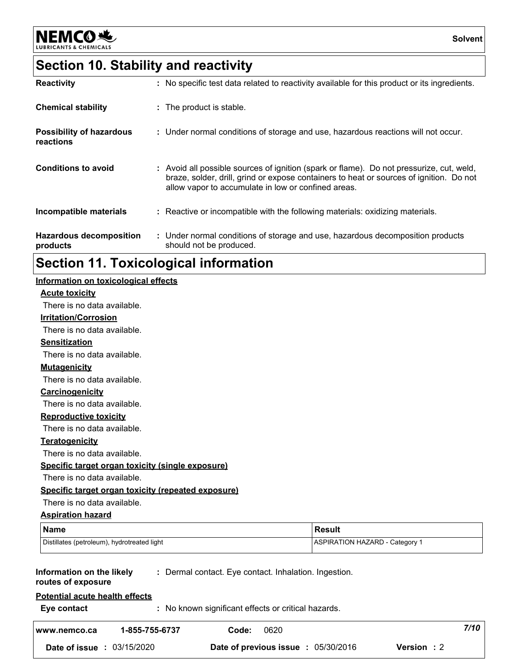

### **Section 10. Stability and reactivity**

| <b>Reactivity</b>                            | : No specific test data related to reactivity available for this product or its ingredients.                                                                                                                                               |
|----------------------------------------------|--------------------------------------------------------------------------------------------------------------------------------------------------------------------------------------------------------------------------------------------|
| <b>Chemical stability</b>                    | : The product is stable.                                                                                                                                                                                                                   |
| <b>Possibility of hazardous</b><br>reactions | : Under normal conditions of storage and use, hazardous reactions will not occur.                                                                                                                                                          |
| <b>Conditions to avoid</b>                   | : Avoid all possible sources of ignition (spark or flame). Do not pressurize, cut, weld,<br>braze, solder, drill, grind or expose containers to heat or sources of ignition. Do not<br>allow vapor to accumulate in low or confined areas. |
| Incompatible materials                       | : Reactive or incompatible with the following materials: oxidizing materials.                                                                                                                                                              |
| <b>Hazardous decomposition</b><br>products   | : Under normal conditions of storage and use, hazardous decomposition products<br>should not be produced.                                                                                                                                  |

### **Section 11. Toxicological information**

#### **Acute toxicity Carcinogenicity Mutagenicity Teratogenicity Reproductive toxicity Irritation/Corrosion Sensitization Information on the likely routes of exposure Specific target organ toxicity (single exposure) Specific target organ toxicity (repeated exposure) Aspiration hazard Name Result** Distillates (petroleum), hydrotreated light ASPIRATION HAZARD - Category 1 **Information on toxicological effects :** Dermal contact. Eye contact. Inhalation. Ingestion. There is no data available. There is no data available. There is no data available. There is no data available. There is no data available. There is no data available. There is no data available. There is no data available. There is no data available.

**Eye contact :** No known significant effects or critical hazards. **Potential acute health effects www.nemco.ca 1-855-755-6737 Code:** 0620 7/10 | **Date of issue :** 03/15/2020 **Date of previous issue :** 05/30/2016 **Version :** 2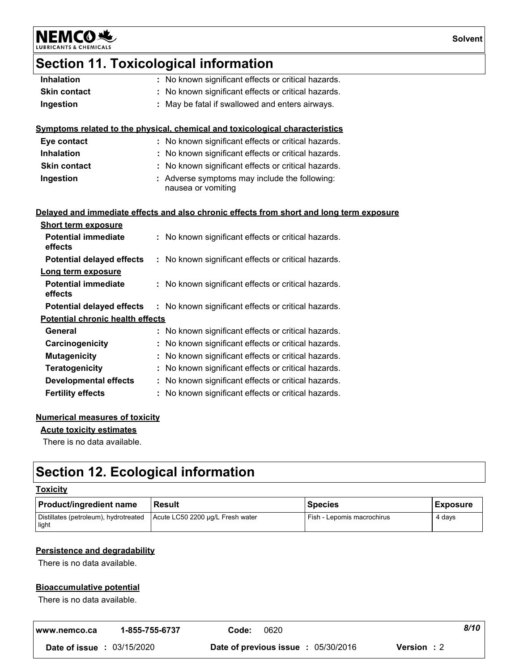NEMCO<sup>N</sup>

## **Section 11. Toxicological information**

| : No known significant effects or critical hazards.                                      |
|------------------------------------------------------------------------------------------|
| No known significant effects or critical hazards.                                        |
| : May be fatal if swallowed and enters airways.                                          |
|                                                                                          |
| Symptoms related to the physical, chemical and toxicological characteristics             |
| : No known significant effects or critical hazards.                                      |
| : No known significant effects or critical hazards.                                      |
| : No known significant effects or critical hazards.                                      |
| : Adverse symptoms may include the following:                                            |
| nausea or vomiting                                                                       |
|                                                                                          |
| Delayed and immediate effects and also chronic effects from short and long term exposure |
|                                                                                          |
| : No known significant effects or critical hazards.                                      |
| : No known significant effects or critical hazards.                                      |
|                                                                                          |
| : No known significant effects or critical hazards.                                      |
| : No known significant effects or critical hazards.                                      |
|                                                                                          |
| : No known significant effects or critical hazards.                                      |
| : No known significant effects or critical hazards.                                      |
| : No known significant effects or critical hazards.                                      |
| : No known significant effects or critical hazards.                                      |
| : No known significant effects or critical hazards.                                      |
| : No known significant effects or critical hazards.                                      |
| <b>Potential chronic health effects</b>                                                  |

#### **Numerical measures of toxicity**

**Acute toxicity estimates**

There is no data available.

### **Section 12. Ecological information**

#### **Toxicity**

| <b>Product/ingredient name</b>                 | l Result                         | <b>Species</b>             | <b>Exposure</b> |
|------------------------------------------------|----------------------------------|----------------------------|-----------------|
| Distillates (petroleum), hydrotreated<br>light | Acute LC50 2200 µg/L Fresh water | Fish - Lepomis macrochirus | 4 davs          |

#### **Persistence and degradability**

There is no data available.

#### **Bioaccumulative potential**

There is no data available.

| l www.nemco.ca                    | 1-855-755-6737<br>Code: | 0620                                               | 8/10 |
|-----------------------------------|-------------------------|----------------------------------------------------|------|
| <b>Date of issue : 03/15/2020</b> |                         | Date of previous issue : 05/30/2016<br>Version : 2 |      |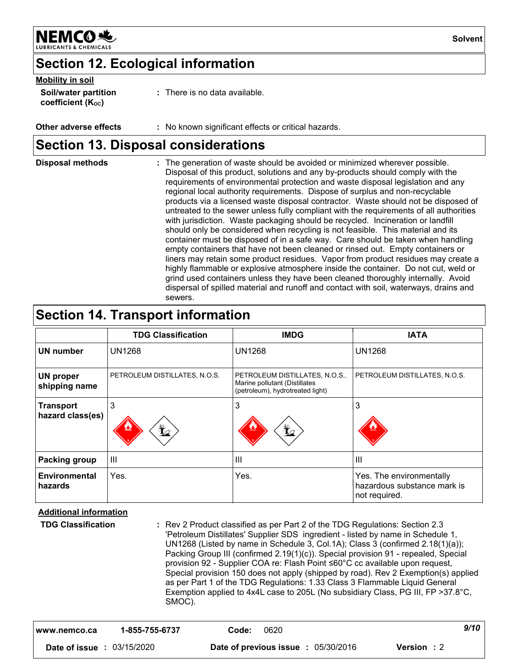

### **Section 12. Ecological information**

#### **Mobility in soil**

| <b>Soil/water partition</b>    | : There is no data available. |
|--------------------------------|-------------------------------|
| coefficient (K <sub>oc</sub> ) |                               |

**Other adverse effects :** No known significant effects or critical hazards.

### **Section 13. Disposal considerations**

| <b>Disposal methods</b> | : The generation of waste should be avoided or minimized wherever possible.<br>Disposal of this product, solutions and any by-products should comply with the<br>requirements of environmental protection and waste disposal legislation and any<br>regional local authority requirements. Dispose of surplus and non-recyclable<br>products via a licensed waste disposal contractor. Waste should not be disposed of<br>untreated to the sewer unless fully compliant with the requirements of all authorities<br>with jurisdiction. Waste packaging should be recycled. Incineration or landfill<br>should only be considered when recycling is not feasible. This material and its<br>container must be disposed of in a safe way. Care should be taken when handling<br>empty containers that have not been cleaned or rinsed out. Empty containers or<br>liners may retain some product residues. Vapor from product residues may create a<br>highly flammable or explosive atmosphere inside the container. Do not cut, weld or |
|-------------------------|----------------------------------------------------------------------------------------------------------------------------------------------------------------------------------------------------------------------------------------------------------------------------------------------------------------------------------------------------------------------------------------------------------------------------------------------------------------------------------------------------------------------------------------------------------------------------------------------------------------------------------------------------------------------------------------------------------------------------------------------------------------------------------------------------------------------------------------------------------------------------------------------------------------------------------------------------------------------------------------------------------------------------------------|
|                         | grind used containers unless they have been cleaned thoroughly internally. Avoid<br>dispersal of spilled material and runoff and contact with soil, waterways, drains and<br>sewers.                                                                                                                                                                                                                                                                                                                                                                                                                                                                                                                                                                                                                                                                                                                                                                                                                                                   |

### **Section 14. Transport information**

|                                      | <b>TDG Classification</b>     | <b>IMDG</b>                                                                                       | <b>IATA</b>                                                              |
|--------------------------------------|-------------------------------|---------------------------------------------------------------------------------------------------|--------------------------------------------------------------------------|
| UN number                            | <b>UN1268</b>                 | <b>UN1268</b>                                                                                     | <b>UN1268</b>                                                            |
| <b>UN proper</b><br>shipping name    | PETROLEUM DISTILLATES, N.O.S. | PETROLEUM DISTILLATES, N.O.S<br>Marine pollutant (Distillates<br>(petroleum), hydrotreated light) | PETROLEUM DISTILLATES, N.O.S.                                            |
| <b>Transport</b><br>hazard class(es) | 3<br>$\bigstar$               | q                                                                                                 | 3                                                                        |
| <b>Packing group</b>                 | $\  \cdot \ $                 | $\mathbf{III}$                                                                                    | $\mathbf{III}$                                                           |
| <b>Environmental</b><br>hazards      | Yes.                          | Yes.                                                                                              | Yes. The environmentally<br>hazardous substance mark is<br>not required. |

**Additional information**

**TDG Classification :**

Rev 2 Product classified as per Part 2 of the TDG Regulations: Section 2.3 'Petroleum Distillates' Supplier SDS ingredient - listed by name in Schedule 1, UN1268 (Listed by name in Schedule 3, Col.1A); Class 3 (confirmed 2.18(1)(a)); Packing Group III (confirmed 2.19(1)(c)). Special provision 91 - repealed, Special provision 92 - Supplier COA re: Flash Point ≤60°C cc available upon request, Special provision 150 does not apply (shipped by road). Rev 2 Exemption(s) applied as per Part 1 of the TDG Regulations: 1.33 Class 3 Flammable Liquid General Exemption applied to 4x4L case to 205L (No subsidiary Class, PG III, FP >37.8°C, SMOC).

| l www.nemco.ca | 1-855-755-6737<br>Code: | 0620                     |            |                   | 9/10 |
|----------------|-------------------------|--------------------------|------------|-------------------|------|
| Date of issue: | 03/15/2020              | Date of previous issue : | 05/30/2016 | <b>Version: 2</b> |      |